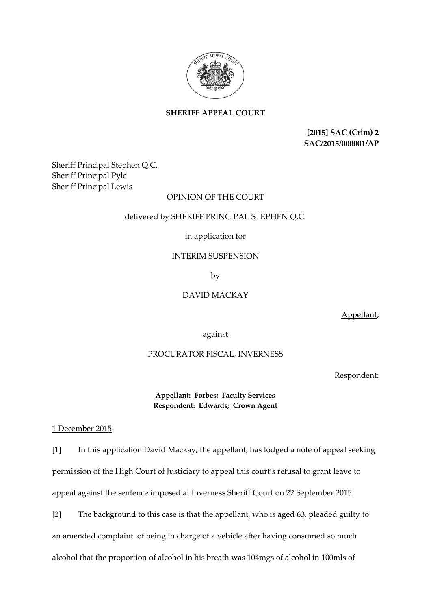

**SHERIFF APPEAL COURT**

**[2015] SAC (Crim) 2 SAC/2015/000001/AP**

Sheriff Principal Stephen Q.C. Sheriff Principal Pyle Sheriff Principal Lewis

### OPINION OF THE COURT

### delivered by SHERIFF PRINCIPAL STEPHEN Q.C.

### in application for

### INTERIM SUSPENSION

by

# DAVID MACKAY

Appellant;

against

## PROCURATOR FISCAL, INVERNESS

Respondent:

**Appellant: Forbes; Faculty Services Respondent: Edwards; Crown Agent**

### 1 December 2015

[1] In this application David Mackay, the appellant, has lodged a note of appeal seeking permission of the High Court of Justiciary to appeal this court's refusal to grant leave to appeal against the sentence imposed at Inverness Sheriff Court on 22 September 2015.

[2] The background to this case is that the appellant, who is aged 63, pleaded guilty to an amended complaint of being in charge of a vehicle after having consumed so much alcohol that the proportion of alcohol in his breath was 104mgs of alcohol in 100mls of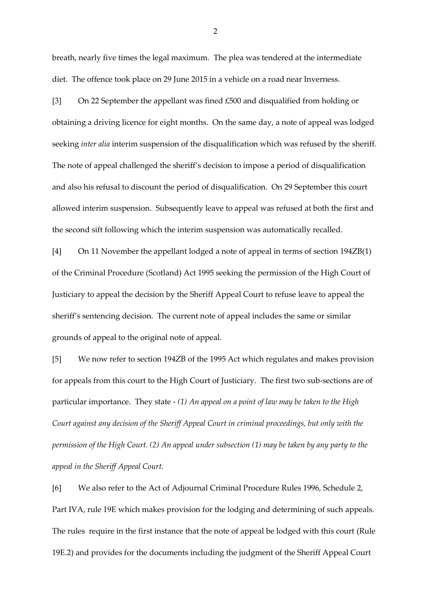breath, nearly five times the legal maximum. The plea was tendered at the intermediate diet. The offence took place on 29 June 2015 in a vehicle on a road near Inverness.

[3] On 22 September the appellant was fined £500 and disqualified from holding or obtaining a driving licence for eight months. On the same day, a note of appeal was lodged seeking *inter alia* interim suspension of the disqualification which was refused by the sheriff. The note of appeal challenged the sheriff's decision to impose a period of disqualification and also his refusal to discount the period of disqualification. On 29 September this court allowed interim suspension. Subsequently leave to appeal was refused at both the first and the second sift following which the interim suspension was automatically recalled.

[4] On 11 November the appellant lodged a note of appeal in terms of section 194ZB(1) of the Criminal Procedure (Scotland) Act 1995 seeking the permission of the High Court of Justiciary to appeal the decision by the Sheriff Appeal Court to refuse leave to appeal the sheriff's sentencing decision. The current note of appeal includes the same or similar grounds of appeal to the original note of appeal.

[5] We now refer to section 194ZB of the 1995 Act which regulates and makes provision for appeals from this court to the High Court of Justiciary. The first two sub-sections are of particular importance. They state - *(1) An appeal on a point of law may be taken to the High Court against any decision of the Sheriff Appeal Court in criminal proceedings, but only with the permission of the High Court. (2) An appeal under subsection (1) may be taken by any party to the appeal in the Sheriff Appeal Court.* 

[6] We also refer to the Act of Adjournal Criminal Procedure Rules 1996, Schedule 2, Part IVA, rule 19E which makes provision for the lodging and determining of such appeals. The rules require in the first instance that the note of appeal be lodged with this court (Rule 19E.2) and provides for the documents including the judgment of the Sheriff Appeal Court

2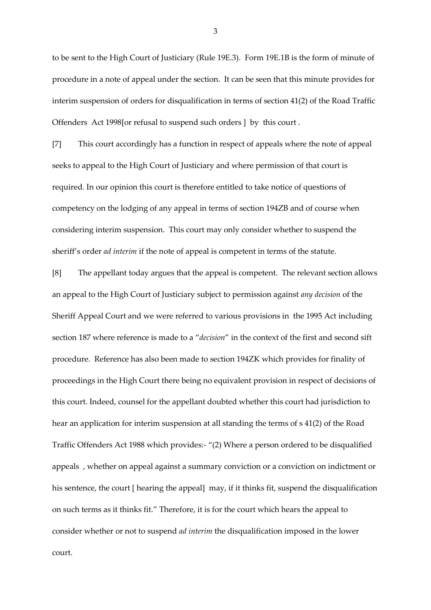to be sent to the High Court of Justiciary (Rule 19E.3). Form 19E.1B is the form of minute of procedure in a note of appeal under the section. It can be seen that this minute provides for interim suspension of orders for disqualification in terms of section 41(2) of the Road Traffic Offenders Act 1998[or refusal to suspend such orders ] by this court .

[7] This court accordingly has a function in respect of appeals where the note of appeal seeks to appeal to the High Court of Justiciary and where permission of that court is required. In our opinion this court is therefore entitled to take notice of questions of competency on the lodging of any appeal in terms of section 194ZB and of course when considering interim suspension. This court may only consider whether to suspend the sheriff's order *ad interim* if the note of appeal is competent in terms of the statute.

[8] The appellant today argues that the appeal is competent. The relevant section allows an appeal to the High Court of Justiciary subject to permission against *any decision* of the Sheriff Appeal Court and we were referred to various provisions in the 1995 Act including section 187 where reference is made to a "*decision*" in the context of the first and second sift procedure. Reference has also been made to section 194ZK which provides for finality of proceedings in the High Court there being no equivalent provision in respect of decisions of this court. Indeed, counsel for the appellant doubted whether this court had jurisdiction to hear an application for interim suspension at all standing the terms of s 41(2) of the Road Traffic Offenders Act 1988 which provides:- "(2) Where a person ordered to be disqualified appeals , whether on appeal against a summary conviction or a conviction on indictment or his sentence, the court [ hearing the appeal] may, if it thinks fit, suspend the disqualification on such terms as it thinks fit." Therefore, it is for the court which hears the appeal to consider whether or not to suspend *ad interim* the disqualification imposed in the lower court.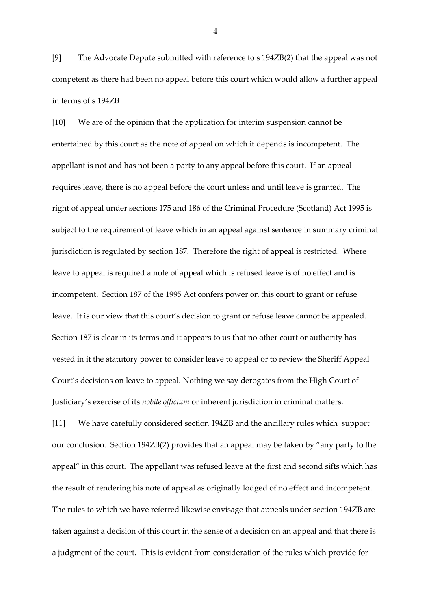[9] The Advocate Depute submitted with reference to s 194ZB(2) that the appeal was not competent as there had been no appeal before this court which would allow a further appeal in terms of s 194ZB

[10] We are of the opinion that the application for interim suspension cannot be entertained by this court as the note of appeal on which it depends is incompetent. The appellant is not and has not been a party to any appeal before this court. If an appeal requires leave, there is no appeal before the court unless and until leave is granted. The right of appeal under sections 175 and 186 of the Criminal Procedure (Scotland) Act 1995 is subject to the requirement of leave which in an appeal against sentence in summary criminal jurisdiction is regulated by section 187. Therefore the right of appeal is restricted. Where leave to appeal is required a note of appeal which is refused leave is of no effect and is incompetent. Section 187 of the 1995 Act confers power on this court to grant or refuse leave. It is our view that this court's decision to grant or refuse leave cannot be appealed. Section 187 is clear in its terms and it appears to us that no other court or authority has vested in it the statutory power to consider leave to appeal or to review the Sheriff Appeal Court's decisions on leave to appeal. Nothing we say derogates from the High Court of Justiciary's exercise of its *nobile officium* or inherent jurisdiction in criminal matters.

[11] We have carefully considered section 194ZB and the ancillary rules which support our conclusion. Section 194ZB(2) provides that an appeal may be taken by "any party to the appeal" in this court. The appellant was refused leave at the first and second sifts which has the result of rendering his note of appeal as originally lodged of no effect and incompetent. The rules to which we have referred likewise envisage that appeals under section 194ZB are taken against a decision of this court in the sense of a decision on an appeal and that there is a judgment of the court. This is evident from consideration of the rules which provide for

4